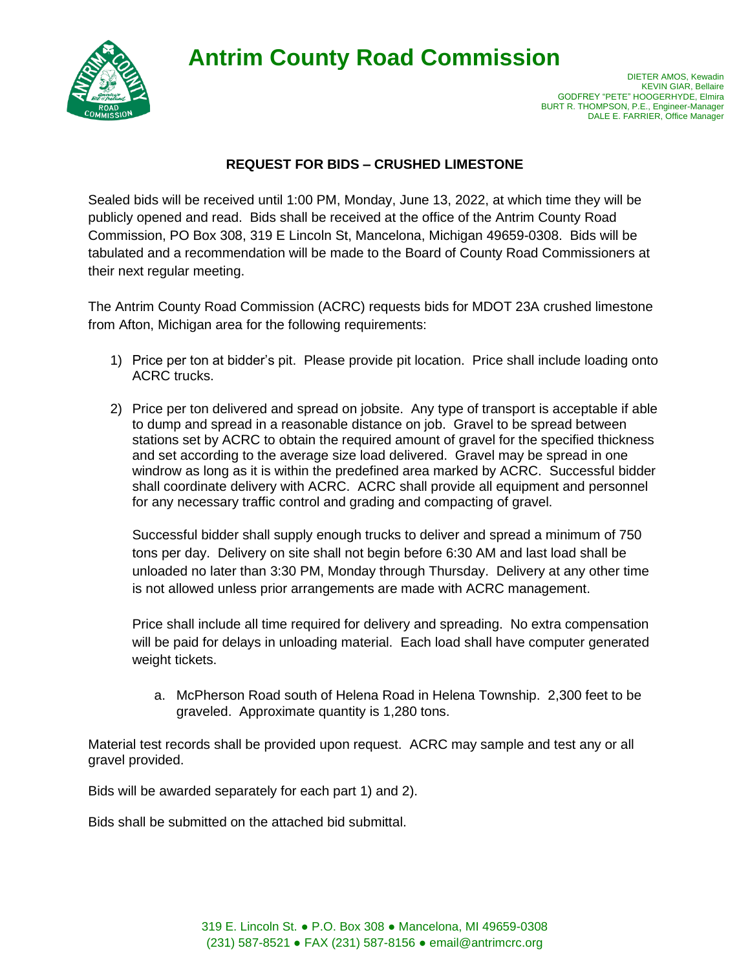**Antrim County Road Commission**



## **REQUEST FOR BIDS – CRUSHED LIMESTONE**

Sealed bids will be received until 1:00 PM, Monday, June 13, 2022, at which time they will be publicly opened and read. Bids shall be received at the office of the Antrim County Road Commission, PO Box 308, 319 E Lincoln St, Mancelona, Michigan 49659-0308. Bids will be tabulated and a recommendation will be made to the Board of County Road Commissioners at their next regular meeting.

The Antrim County Road Commission (ACRC) requests bids for MDOT 23A crushed limestone from Afton, Michigan area for the following requirements:

- 1) Price per ton at bidder's pit. Please provide pit location. Price shall include loading onto ACRC trucks.
- 2) Price per ton delivered and spread on jobsite. Any type of transport is acceptable if able to dump and spread in a reasonable distance on job. Gravel to be spread between stations set by ACRC to obtain the required amount of gravel for the specified thickness and set according to the average size load delivered. Gravel may be spread in one windrow as long as it is within the predefined area marked by ACRC. Successful bidder shall coordinate delivery with ACRC. ACRC shall provide all equipment and personnel for any necessary traffic control and grading and compacting of gravel.

Successful bidder shall supply enough trucks to deliver and spread a minimum of 750 tons per day. Delivery on site shall not begin before 6:30 AM and last load shall be unloaded no later than 3:30 PM, Monday through Thursday. Delivery at any other time is not allowed unless prior arrangements are made with ACRC management.

Price shall include all time required for delivery and spreading. No extra compensation will be paid for delays in unloading material. Each load shall have computer generated weight tickets.

a. McPherson Road south of Helena Road in Helena Township. 2,300 feet to be graveled. Approximate quantity is 1,280 tons.

Material test records shall be provided upon request. ACRC may sample and test any or all gravel provided.

Bids will be awarded separately for each part 1) and 2).

Bids shall be submitted on the attached bid submittal.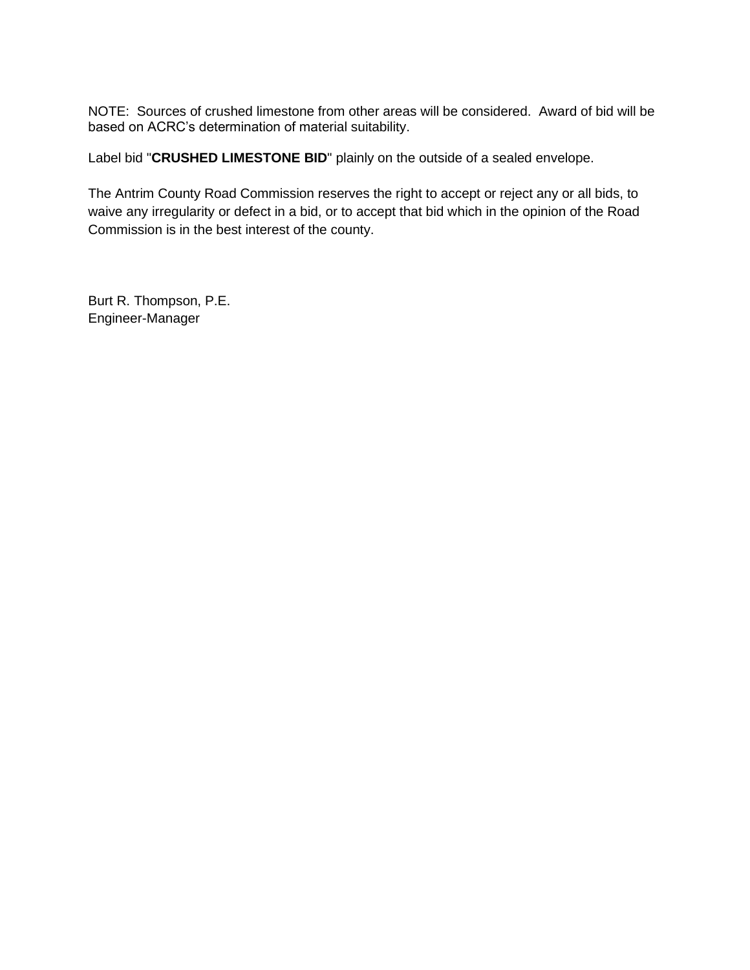NOTE: Sources of crushed limestone from other areas will be considered. Award of bid will be based on ACRC's determination of material suitability.

Label bid "**CRUSHED LIMESTONE BID**" plainly on the outside of a sealed envelope.

The Antrim County Road Commission reserves the right to accept or reject any or all bids, to waive any irregularity or defect in a bid, or to accept that bid which in the opinion of the Road Commission is in the best interest of the county.

Burt R. Thompson, P.E. Engineer-Manager